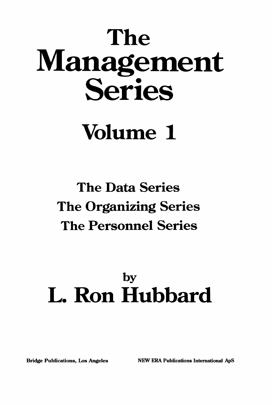# The Management Series

# Volume 1

## The Data Series The Organizing Series The Personnel Series

## by L. Ron Hubbard

Bridge Publications, Los Angeles NEW ERA Publications International ApS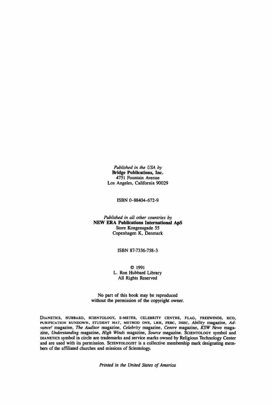*Published in the USA by* Bridge Publications, Inc. 4751 Fountain Avenue Los Angeles, California 90029

ISBN 0-88404-672-9

*Published in all other countries by* NEW ERA Publications International ApS Store Kongensgade 55 Copenhagen K, Denmark

ISBN 87-7336-758-3

© 1991 L. Ron Hubbard Library All Rights Reserved

No part of this book may be reproduced without the permission of the copyright owner.

DIANETICS, HUBBARD, SCIENTOLOGY, E-METER, CELEBRITY CENTRE, FLAG, FREEWINDS, HCO, PURIFICATION RUNDOWN, STUDENT HAT, METHOD ONE, LRH, FEBC, DSEC, *Ability* magazine, *Advance!* magazine, *The Auditor* magazine, *Celebrity* magazine, *Centre* magazine, *KSW News* magazine, *Understanding* magazine, *High Winds* magazine, *Source* magazine. SCIENTOLOGY symbol and DIANETICS symbol in circle are trademarks and service marks owned by Religious Technology Center and are used with its permission. SCIENTOLOGIST is a collective membership mark designating members of the affiliated churches and missions of Scientology.

*Printed in the United States of America*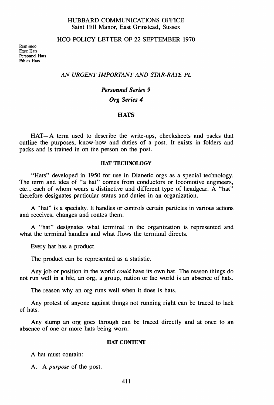#### HUBBARD COMMUNICATIONS OFFICE Saint Hill Manor, East Grinstead, Sussex

#### HCO POLICY LETTER OF 22 SEPTEMBER 1970

Remimeo Exec Hats Personnel Hats Ethics Hats

#### *AN URGENT IMPORTANT AND STAR-RATE PL*

#### *Personnel Series 9 Org Series 4*

#### **HATS**

HAT-A term used to describe the write-ups, checksheets and packs that outline the purposes, know-how and duties of a post. It exists in folders and packs and is trained in on the person on the post.

#### HAT TECHNOLOGY

"Hats" developed in 1950 for use in Dianetic orgs as a special technology. The term and idea of "a hat" comes from conductors or locomotive engineers, etc., each of whom wears a distinctive and different type of headgear. A "hat" therefore designates particular status and duties in an organization.

A "hat" is a specialty. It handles or controls certain particles in various actions and receives, changes and routes them.

A "hat" designates what terminal in the organization is represented and what the terminal handles and what flows the terminal directs.

Every hat has a product.

The product can be represented as a statistic.

Any job or position in the world *could* have its own hat. The reason things do not run well in a life, an org, a group, nation or the world is an absence of hats.

The reason why an org runs well when it does is hats.

Any protest of anyone against things not running right can be traced to lack of hats.

Any slump an org goes through can be traced directly and at once to an absence of one or more hats being worn.

#### HAT CONTENT

A hat must contain:

A. A *purpose* of the post.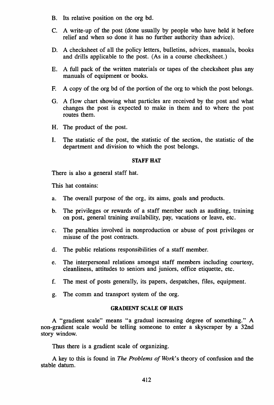- B. Its relative position on the org bd.
- C. A write-up of the post (done usually by people who have held it before relief and when so done it has no further authority than advice).
- D. A checksheet of all the policy letters, bulletins, advices, manuals, books and drills applicable to the post. (As in a course checksheet.)
- E. A full pack of the written materials or tapes of the checksheet plus any manuals of equipment or books.
- F. A copy of the org bd of the portion of the org to which the post belongs.
- G. A flow chart showing what particles are received by the post and what changes the post is expected to make in them and to where the post routes them.
- H. The product of the post.
- I. The statistic of the post, the statistic of the section, the statistic of the department and division to which the post belongs.

#### STAFF HAT

There is also a general staff hat.

This hat contains:

- a. The overall purpose of the org, its aims, goals and products.
- b. The privileges or rewards of a staff member such as auditing, training on post, general training availability, pay, vacations or leave, etc.
- c. The penalties involved in nonproduction or abuse of post privileges or misuse of the post contracts.
- d. The public relations responsibilities of a staff member.
- e. The interpersonal relations amongst staff members including courtesy, cleanliness, attitudes to seniors and juniors, office etiquette, etc.
- f. The mest of posts generally, its papers, despatches, files, equipment.
- g. The comm and transport system of the org.

#### GRADIENT SCALE OF HATS

A "gradient scale" means "a gradual increasing degree of something." A non-gradient scale would be telling someone to enter a skyscraper by a 32nd story window.

Thus there is a gradient scale of organizing.

A key to this is found in *The Problems of Work's* theory of confusion and the stable datum.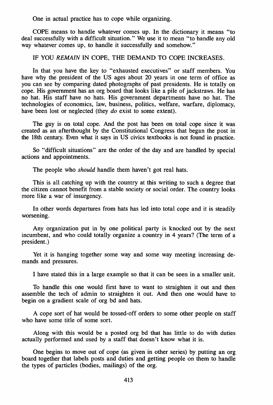One in actual practice has to cope while organizing.

COPE means to handle whatever comes up. In the dictionary it means "to deal successfully with a difficult situation." We use it to mean "to handle any old way whatever comes up, to handle it successfully and somehow."

#### IF YOU *REMAIN* IN COPE, THE DEMAND TO COPE INCREASES.

In that you have the key to "exhausted executives" or staff members. You have why the president of the US ages about 20 years in one term of office as you can see by comparing dated photographs of past presidents. He is totally on cope. His government has an org board that looks like a pile of jackstraws. He has no hat. His staff have no hats. His government departments have no hat. The technologies of economics, law, business, politics, welfare, warfare, diplomacy, have been lost or neglected (they *do* exist to some extent).

The guy is on total cope. And the post has been on total cope since it was created as an afterthought by the Constitutional Congress that began the post in the 18th century. Even what it says in US civics textbooks is not found in practice.

So "difficult situations" are the order of the day and are handled by special actions and appointments.

The people who *should* handle them haven't got real hats.

This is all catching up with the country at this writing to such a degree that the citizen cannot benefit from a stable society or social order. The country looks more like a war of insurgency.

In other words departures from hats has led into total cope and it is steadily worsening.

Any organization put in by one political party is knocked out by the next incumbent, and who could totally organize a country in 4 years? (The term of a president.)

Yet it is hanging together some way and some way meeting increasing demands and pressures.

I have stated this in a large example so that it can be seen in a smaller unit.

To handle this one would first have to want to straighten it out and then assemble the tech of admin to straighten it out. And then one would have to begin on a gradient scale of org bd and hats.

A cope sort of hat would be tossed-off orders to some other people on staff who have some title of some sort.

Along with this would be a posted org bd that has little to do with duties actually performed and used by a staff that doesn't know what it is.

One begins to move out of cope (as given in other series) by putting an org board together that labels posts and duties and getting people on them to handle the types of particles (bodies, mailings) of the org.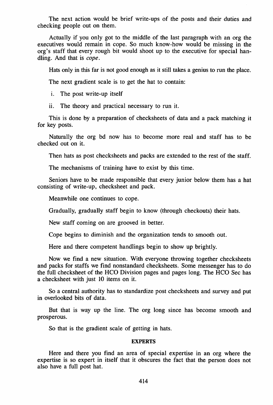The next action would be brief write-ups of the posts and their duties and checking people out on them.

Actually if you only got to the middle of the last paragraph with an org the executives would remain in cope. So much know-how would be missing in the org's staff that every rough bit would shoot up to the executive for special handling. And that is cope.

Hats only in this far is not good enough as it still takes a genius to run the place.

The next gradient scale is to get the hat to contain:

i. The post write-up itself

ii. The theory and practical necessary to run it.

This is done by a preparation of checksheets of data and a pack matching it for key posts.

Naturally the org bd now has to become more real and staff has to be checked out on it.

Then hats as post checksheets and packs are extended to the rest of the staff.

The mechanisms of training have to exist by this time.

Seniors have to be made responsible that every junior below them has a hat consisting of write-up, checksheet and pack.

Meanwhile one continues to cope.

Gradually, gradually staff begin to know (through checkouts) their hats.

New staff coming on are grooved in better.

Cope begins to diminish and the organization tends to smooth out.

Here and there competent handlings begin to show up brightly.

Now we find a new situation. With everyone throwing together checksheets and packs for staffs we find nonstandard checksheets. Some messenger has to do the full checksheet of the HCO Division pages and pages long. The HCO Sec has a checksheet with just 10 items on it.

So a central authority has to standardize post checksheets and survey and put in overlooked bits of data.

But that is way up the line. The org long since has become smooth and prosperous.

So that is the gradient scale of getting in hats.

#### **EXPERTS**

Here and there you find an area of special expertise in an org where the expertise is so expert in itself that it obscures the fact that the person does not also have a full post hat.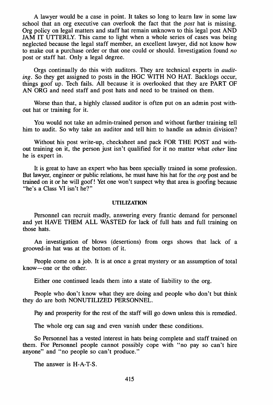A lawyer would be a case in point. It takes so long to learn law in some law school that an org executive can overlook the fact that the *post* hat is missing. *Drg* policy on legal matters and staff hat remain unknown to this legal post AND JAM IT UTTERLY. This came to light when a whole series of cases was being neglected because the legal staff member, an excellent lawyer, did not know how to make out a purchase order or that one could or should. Investigation found *no* post or staff hat. Only a legal degree.

Orgs continually do this with auditors. They are technical experts in *auditing.* So they get assigned to posts in the HGC WITH NO HAT. Backlogs occur, things goof up. Tech fails. All because it is overlooked that they are PART OF AN ORG and need staff and post hats and need to be trained on them.

Worse than that, a highly classed auditor is often put on an admin post without hat or training for it.

You would not take an admin-trained person and without further training tell him to audit. So why take an auditor and tell him to handle an admin division?

Without his post write-up, checksheet and pack FOR THE POST and without training on it, the person just isn't qualified for it no matter what *other* line he is expert in.

It is great to have an expert who has been specially trained in some profession. But lawyer, engineer or public relations, he must have his hat for the *org* post and be trained on it or he will goof! Yet one won't suspect why that area is goofing because "he's a Class VI isn't he?"

#### UTILIZATION

Personnel can recruit madly, answering every frantic demand for personnel and yet HAVE THEM ALL WASTED for lack of full hats and full training on those hats.

An investigation of blows (desertions) from orgs shows that lack of a grooved-in hat was at the bottom of it.

People come on a job. It is at once a great mystery or an assumption of total know-one or the other.

Either one continued leads them into a state of liability to the org.

People who don't know what they are doing and people who don't but think they do are both NONUTILIZED PERSONNEL.

Pay and prosperity for the rest of the staff will go down unless this is remedied.

The whole org can sag and even vanish under these conditions.

So Personnel has a vested interest in hats being complete and staff trained on them. For Personnel people cannot possibly cope with "no pay so can't hire anyone" and "no people so can't produce."

The answer is H-A-T-S.